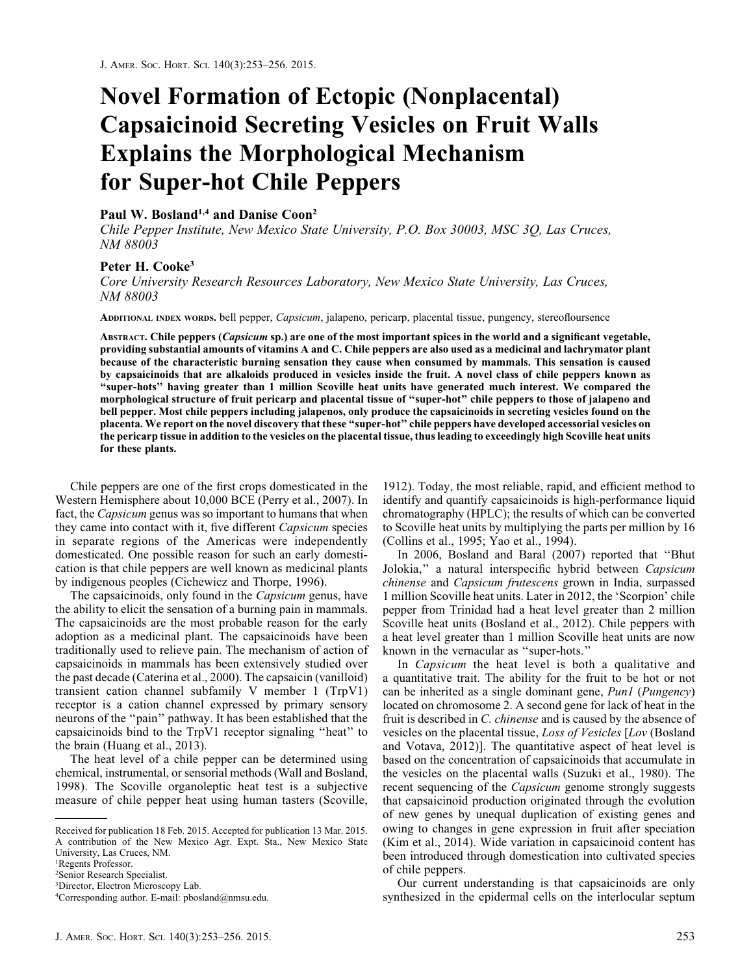# Novel Formation of Ectopic (Nonplacental) Capsaicinoid Secreting Vesicles on Fruit Walls Explains the Morphological Mechanism for Super-hot Chile Peppers

### Paul W. Bosland<sup>1,4</sup> and Danise Coon<sup>2</sup>

Chile Pepper Institute, New Mexico State University, P.O. Box 30003, MSC 3Q, Las Cruces, NM 88003

## Peter H. Cooke<sup>3</sup>

Core University Research Resources Laboratory, New Mexico State University, Las Cruces,

nm 88003<br>|-ADDITIONAL INDEX WORDS. bell pepper, Capsicum, jalapeno, pericarp, placental tissue, pungency, stereofloursence

ABSTRACT. Chile peppers (Capsicum sp.) are one of the most important spices in the world and a significant vegetable, providing substantial amounts of vitamins A and C. Chile peppers are also used as a medicinal and lachrymator plant because of the characteristic burning sensation they cause when consumed by mammals. This sensation is caused by capsaicinoids that are alkaloids produced in vesicles inside the fruit. A novel class of chile peppers known as ''super-hots'' having greater than 1 million Scoville heat units have generated much interest. We compared the morphological structure of fruit pericarp and placental tissue of ''super-hot'' chile peppers to those of jalapeno and bell pepper. Most chile peppers including jalapenos, only produce the capsaicinoids in secreting vesicles found on the placenta. We report on the novel discovery that these ''super-hot'' chile peppers have developed accessorial vesicles on the pericarp tissue in addition to the vesicles on the placental tissue, thus leading to exceedingly high Scoville heat units for these plants.

Chile peppers are one of the first crops domesticated in the Western Hemisphere about 10,000 BCE (Perry et al., 2007). In fact, the *Capsicum* genus was so important to humans that when they came into contact with it, five different Capsicum species in separate regions of the Americas were independently domesticated. One possible reason for such an early domestication is that chile peppers are well known as medicinal plants by indigenous peoples (Cichewicz and Thorpe, 1996).

The capsaicinoids, only found in the *Capsicum* genus, have the ability to elicit the sensation of a burning pain in mammals. The capsaicinoids are the most probable reason for the early adoption as a medicinal plant. The capsaicinoids have been traditionally used to relieve pain. The mechanism of action of capsaicinoids in mammals has been extensively studied over the past decade (Caterina et al., 2000). The capsaicin (vanilloid) transient cation channel subfamily V member 1 (TrpV1) receptor is a cation channel expressed by primary sensory neurons of the ''pain'' pathway. It has been established that the capsaicinoids bind to the TrpV1 receptor signaling ''heat'' to the brain (Huang et al., 2013).

The heat level of a chile pepper can be determined using chemical, instrumental, or sensorial methods (Wall and Bosland, 1998). The Scoville organoleptic heat test is a subjective measure of chile pepper heat using human tasters (Scoville, 1912). Today, the most reliable, rapid, and efficient method to identify and quantify capsaicinoids is high-performance liquid chromatography (HPLC); the results of which can be converted to Scoville heat units by multiplying the parts per million by 16 (Collins et al., 1995; Yao et al., 1994).

In 2006, Bosland and Baral (2007) reported that ''Bhut Jolokia,'' a natural interspecific hybrid between Capsicum chinense and Capsicum frutescens grown in India, surpassed 1 million Scoville heat units. Later in 2012, the 'Scorpion' chile pepper from Trinidad had a heat level greater than 2 million Scoville heat units (Bosland et al., 2012). Chile peppers with a heat level greater than 1 million Scoville heat units are now known in the vernacular as ''super-hots.''

In *Capsicum* the heat level is both a qualitative and a quantitative trait. The ability for the fruit to be hot or not can be inherited as a single dominant gene, Pun1 (Pungency) located on chromosome 2. A second gene for lack of heat in the fruit is described in C. chinense and is caused by the absence of vesicles on the placental tissue, Loss of Vesicles [Lov (Bosland and Votava, 2012)]. The quantitative aspect of heat level is based on the concentration of capsaicinoids that accumulate in the vesicles on the placental walls (Suzuki et al., 1980). The recent sequencing of the *Capsicum* genome strongly suggests that capsaicinoid production originated through the evolution of new genes by unequal duplication of existing genes and owing to changes in gene expression in fruit after speciation (Kim et al., 2014). Wide variation in capsaicinoid content has been introduced through domestication into cultivated species of chile peppers.

Our current understanding is that capsaicinoids are only synthesized in the epidermal cells on the interlocular septum

Received for publication 18 Feb. 2015. Accepted for publication 13 Mar. 2015. A contribution of the New Mexico Agr. Expt. Sta., New Mexico State University, Las Cruces, NM.

<sup>1</sup> Regents Professor.

<sup>2</sup> Senior Research Specialist.

<sup>3</sup> Director, Electron Microscopy Lab.

<sup>4</sup> Corresponding author. E-mail: pbosland@nmsu.edu.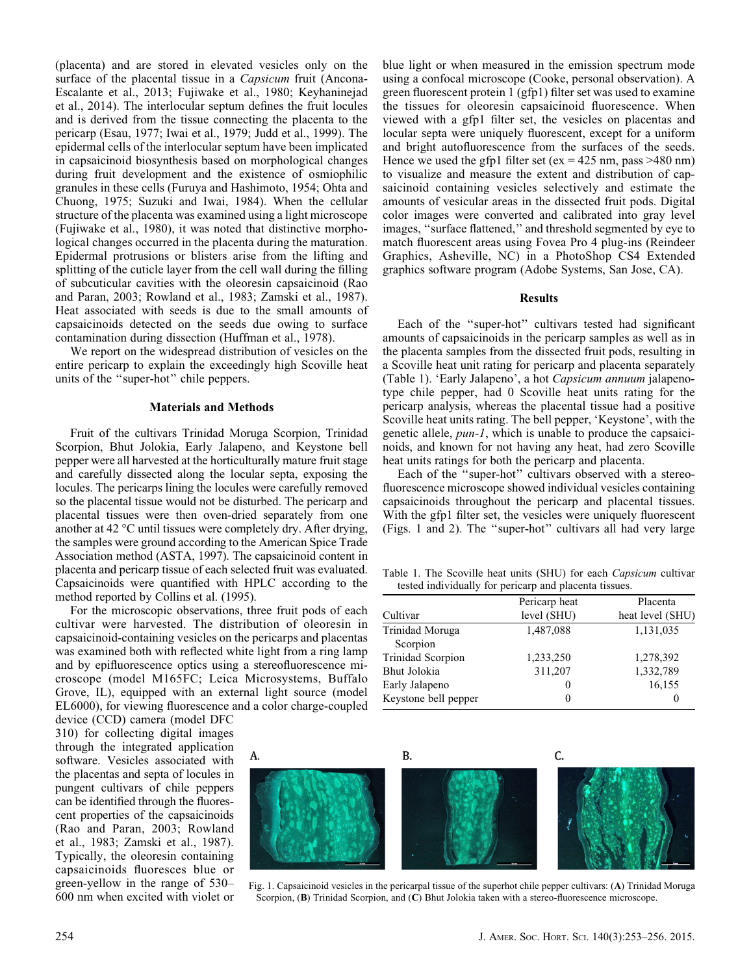(placenta) and are stored in elevated vesicles only on the surface of the placental tissue in a *Capsicum* fruit (Ancona-Escalante et al., 2013; Fujiwake et al., 1980; Keyhaninejad et al., 2014). The interlocular septum defines the fruit locules and is derived from the tissue connecting the placenta to the pericarp (Esau, 1977; Iwai et al., 1979; Judd et al., 1999). The epidermal cells of the interlocular septum have been implicated in capsaicinoid biosynthesis based on morphological changes during fruit development and the existence of osmiophilic granules in these cells (Furuya and Hashimoto, 1954; Ohta and Chuong, 1975; Suzuki and Iwai, 1984). When the cellular structure of the placenta was examined using a light microscope (Fujiwake et al., 1980), it was noted that distinctive morphological changes occurred in the placenta during the maturation. Epidermal protrusions or blisters arise from the lifting and splitting of the cuticle layer from the cell wall during the filling of subcuticular cavities with the oleoresin capsaicinoid (Rao and Paran, 2003; Rowland et al., 1983; Zamski et al., 1987). Heat associated with seeds is due to the small amounts of capsaicinoids detected on the seeds due owing to surface contamination during dissection (Huffman et al., 1978).

We report on the widespread distribution of vesicles on the entire pericarp to explain the exceedingly high Scoville heat units of the ''super-hot'' chile peppers.

#### Materials and Methods

Fruit of the cultivars Trinidad Moruga Scorpion, Trinidad Scorpion, Bhut Jolokia, Early Jalapeno, and Keystone bell pepper were all harvested at the horticulturally mature fruit stage and carefully dissected along the locular septa, exposing the locules. The pericarps lining the locules were carefully removed so the placental tissue would not be disturbed. The pericarp and placental tissues were then oven-dried separately from one another at 42  $\mathrm{^{\circ}C}$  until tissues were completely dry. After drying, the samples were ground according to the American Spice Trade Association method (ASTA, 1997). The capsaicinoid content in placenta and pericarp tissue of each selected fruit was evaluated. Capsaicinoids were quantified with HPLC according to the method reported by Collins et al. (1995).

For the microscopic observations, three fruit pods of each cultivar were harvested. The distribution of oleoresin in capsaicinoid-containing vesicles on the pericarps and placentas was examined both with reflected white light from a ring lamp and by epifluorescence optics using a stereofluorescence microscope (model M165FC; Leica Microsystems, Buffalo Grove, IL), equipped with an external light source (model EL6000), for viewing fluorescence and a color charge-coupled

device (CCD) camera (model DFC 310) for collecting digital images through the integrated application software. Vesicles associated with the placentas and septa of locules in pungent cultivars of chile peppers can be identified through the fluorescent properties of the capsaicinoids (Rao and Paran, 2003; Rowland et al., 1983; Zamski et al., 1987). Typically, the oleoresin containing capsaicinoids fluoresces blue or green-yellow in the range of 530– 600 nm when excited with violet or

blue light or when measured in the emission spectrum mode using a confocal microscope (Cooke, personal observation). A green fluorescent protein 1 (gfp1) filter set was used to examine the tissues for oleoresin capsaicinoid fluorescence. When viewed with a gfp1 filter set, the vesicles on placentas and locular septa were uniquely fluorescent, except for a uniform and bright autofluorescence from the surfaces of the seeds. Hence we used the gfp1 filter set ( $ex = 425$  nm, pass  $>480$  nm) to visualize and measure the extent and distribution of capsaicinoid containing vesicles selectively and estimate the amounts of vesicular areas in the dissected fruit pods. Digital color images were converted and calibrated into gray level images, ''surface flattened,'' and threshold segmented by eye to match fluorescent areas using Fovea Pro 4 plug-ins (Reindeer Graphics, Asheville, NC) in a PhotoShop CS4 Extended graphics software program (Adobe Systems, San Jose, CA).

#### Results

Each of the ''super-hot'' cultivars tested had significant amounts of capsaicinoids in the pericarp samples as well as in the placenta samples from the dissected fruit pods, resulting in a Scoville heat unit rating for pericarp and placenta separately (Table 1). 'Early Jalapeno', a hot Capsicum annuum jalapenotype chile pepper, had 0 Scoville heat units rating for the pericarp analysis, whereas the placental tissue had a positive Scoville heat units rating. The bell pepper, 'Keystone', with the genetic allele, pun-1, which is unable to produce the capsaicinoids, and known for not having any heat, had zero Scoville heat units ratings for both the pericarp and placenta.

Each of the ''super-hot'' cultivars observed with a stereofluorescence microscope showed individual vesicles containing capsaicinoids throughout the pericarp and placental tissues. With the gfp1 filter set, the vesicles were uniquely fluorescent (Figs. 1 and 2). The ''super-hot'' cultivars all had very large

Table 1. The Scoville heat units (SHU) for each Capsicum cultivar tested individually for pericarp and placenta tissues.

|                      | Pericarp heat | Placenta         |
|----------------------|---------------|------------------|
| Cultivar             | level (SHU)   | heat level (SHU) |
| Trinidad Moruga      | 1,487,088     | 1,131,035        |
| Scorpion             |               |                  |
| Trinidad Scorpion    | 1,233,250     | 1,278,392        |
| Bhut Jolokia         | 311,207       | 1,332,789        |
| Early Jalapeno       | 0             | 16,155           |
| Keystone bell pepper | 0             | 0                |



Fig. 1. Capsaicinoid vesicles in the pericarpal tissue of the superhot chile pepper cultivars: (A) Trinidad Moruga Scorpion, (B) Trinidad Scorpion, and (C) Bhut Jolokia taken with a stereo-fluorescence microscope.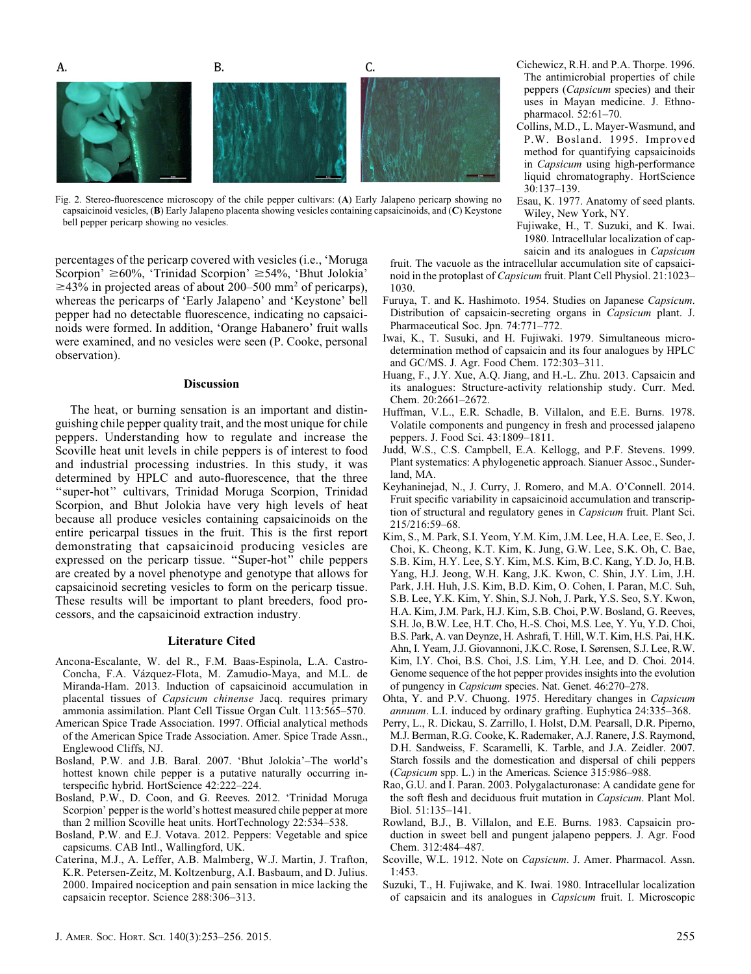

Fig. 2. Stereo-fluorescence microscopy of the chile pepper cultivars: (A) Early Jalapeno pericarp showing no capsaicinoid vesicles, (B) Early Jalapeno placenta showing vesicles containing capsaicinoids, and (C) Keystone bell pepper pericarp showing no vesicles.

percentages of the pericarp covered with vesicles (i.e., 'Moruga Scorpion'  $\geq 60\%$ , 'Trinidad Scorpion'  $\geq 54\%$ , 'Bhut Jolokia'  $\geq$ 43% in projected areas of about 200–500 mm<sup>2</sup> of pericarps), whereas the pericarps of 'Early Jalapeno' and 'Keystone' bell pepper had no detectable fluorescence, indicating no capsaicinoids were formed. In addition, 'Orange Habanero' fruit walls were examined, and no vesicles were seen (P. Cooke, personal observation).

#### **Discussion**

The heat, or burning sensation is an important and distinguishing chile pepper quality trait, and the most unique for chile peppers. Understanding how to regulate and increase the Scoville heat unit levels in chile peppers is of interest to food and industrial processing industries. In this study, it was determined by HPLC and auto-fluorescence, that the three ''super-hot'' cultivars, Trinidad Moruga Scorpion, Trinidad Scorpion, and Bhut Jolokia have very high levels of heat because all produce vesicles containing capsaicinoids on the entire pericarpal tissues in the fruit. This is the first report demonstrating that capsaicinoid producing vesicles are expressed on the pericarp tissue. ''Super-hot'' chile peppers are created by a novel phenotype and genotype that allows for capsaicinoid secreting vesicles to form on the pericarp tissue. These results will be important to plant breeders, food processors, and the capsaicinoid extraction industry.

#### Literature Cited

- Ancona-Escalante, W. del R., F.M. Baas-Espinola, L.A. Castro-Concha, F.A. Vazquez-Flota, M. Zamudio-Maya, and M.L. de Miranda-Ham. 2013. Induction of capsaicinoid accumulation in placental tissues of Capsicum chinense Jacq. requires primary ammonia assimilation. Plant Cell Tissue Organ Cult. 113:565–570.
- American Spice Trade Association. 1997. Official analytical methods of the American Spice Trade Association. Amer. Spice Trade Assn., Englewood Cliffs, NJ.
- Bosland, P.W. and J.B. Baral. 2007. 'Bhut Jolokia'–The world's hottest known chile pepper is a putative naturally occurring interspecific hybrid. HortScience 42:222–224.
- Bosland, P.W., D. Coon, and G. Reeves. 2012. 'Trinidad Moruga Scorpion' pepper is the world's hottest measured chile pepper at more than 2 million Scoville heat units. HortTechnology 22:534–538.
- Bosland, P.W. and E.J. Votava. 2012. Peppers: Vegetable and spice capsicums. CAB Intl., Wallingford, UK.
- Caterina, M.J., A. Leffer, A.B. Malmberg, W.J. Martin, J. Trafton, K.R. Petersen-Zeitz, M. Koltzenburg, A.I. Basbaum, and D. Julius. 2000. Impaired nociception and pain sensation in mice lacking the capsaicin receptor. Science 288:306–313.
- Cichewicz, R.H. and P.A. Thorpe. 1996. The antimicrobial properties of chile peppers (Capsicum species) and their uses in Mayan medicine. J. Ethnopharmacol. 52:61–70.
- Collins, M.D., L. Mayer-Wasmund, and P.W. Bosland. 1995. Improved method for quantifying capsaicinoids in Capsicum using high-performance liquid chromatography. HortScience 30:137–139.
- Esau, K. 1977. Anatomy of seed plants. Wiley, New York, NY.
- Fujiwake, H., T. Suzuki, and K. Iwai. 1980. Intracellular localization of capsaicin and its analogues in Capsicum
- fruit. The vacuole as the intracellular accumulation site of capsaicinoid in the protoplast of Capsicum fruit. Plant Cell Physiol. 21:1023– 1030.
- Furuya, T. and K. Hashimoto. 1954. Studies on Japanese Capsicum. Distribution of capsaicin-secreting organs in Capsicum plant. J. Pharmaceutical Soc. Jpn. 74:771–772.
- Iwai, K., T. Susuki, and H. Fujiwaki. 1979. Simultaneous microdetermination method of capsaicin and its four analogues by HPLC and GC/MS. J. Agr. Food Chem. 172:303–311.
- Huang, F., J.Y. Xue, A.Q. Jiang, and H.-L. Zhu. 2013. Capsaicin and its analogues: Structure-activity relationship study. Curr. Med. Chem. 20:2661–2672.
- Huffman, V.L., E.R. Schadle, B. Villalon, and E.E. Burns. 1978. Volatile components and pungency in fresh and processed jalapeno peppers. J. Food Sci. 43:1809–1811.
- Judd, W.S., C.S. Campbell, E.A. Kellogg, and P.F. Stevens. 1999. Plant systematics: A phylogenetic approach. Sianuer Assoc., Sunderland, MA.
- Keyhaninejad, N., J. Curry, J. Romero, and M.A. O'Connell. 2014. Fruit specific variability in capsaicinoid accumulation and transcription of structural and regulatory genes in Capsicum fruit. Plant Sci. 215/216:59–68.
- Kim, S., M. Park, S.I. Yeom, Y.M. Kim, J.M. Lee, H.A. Lee, E. Seo, J. Choi, K. Cheong, K.T. Kim, K. Jung, G.W. Lee, S.K. Oh, C. Bae, S.B. Kim, H.Y. Lee, S.Y. Kim, M.S. Kim, B.C. Kang, Y.D. Jo, H.B. Yang, H.J. Jeong, W.H. Kang, J.K. Kwon, C. Shin, J.Y. Lim, J.H. Park, J.H. Huh, J.S. Kim, B.D. Kim, O. Cohen, I. Paran, M.C. Suh, S.B. Lee, Y.K. Kim, Y. Shin, S.J. Noh, J. Park, Y.S. Seo, S.Y. Kwon, H.A. Kim, J.M. Park, H.J. Kim, S.B. Choi, P.W. Bosland, G. Reeves, S.H. Jo, B.W. Lee, H.T. Cho, H.-S. Choi, M.S. Lee, Y. Yu, Y.D. Choi, B.S. Park, A. van Deynze, H. Ashrafi, T. Hill, W.T. Kim, H.S. Pai, H.K. Ahn, I. Yeam, J.J. Giovannoni, J.K.C. Rose, I. Sørensen, S.J. Lee, R.W. Kim, I.Y. Choi, B.S. Choi, J.S. Lim, Y.H. Lee, and D. Choi. 2014. Genome sequence of the hot pepper provides insights into the evolution of pungency in Capsicum species. Nat. Genet. 46:270–278.
- Ohta, Y. and P.V. Chuong. 1975. Hereditary changes in Capsicum annuum. L.I. induced by ordinary grafting. Euphytica 24:335–368.
- Perry, L., R. Dickau, S. Zarrillo, I. Holst, D.M. Pearsall, D.R. Piperno, M.J. Berman, R.G. Cooke, K. Rademaker, A.J. Ranere, J.S. Raymond, D.H. Sandweiss, F. Scaramelli, K. Tarble, and J.A. Zeidler. 2007. Starch fossils and the domestication and dispersal of chili peppers (Capsicum spp. L.) in the Americas. Science 315:986–988.
- Rao, G.U. and I. Paran. 2003. Polygalacturonase: A candidate gene for the soft flesh and deciduous fruit mutation in Capsicum. Plant Mol. Biol. 51:135–141.
- Rowland, B.J., B. Villalon, and E.E. Burns. 1983. Capsaicin production in sweet bell and pungent jalapeno peppers. J. Agr. Food Chem. 312:484–487.
- Scoville, W.L. 1912. Note on Capsicum. J. Amer. Pharmacol. Assn. 1:453.
- Suzuki, T., H. Fujiwake, and K. Iwai. 1980. Intracellular localization of capsaicin and its analogues in Capsicum fruit. I. Microscopic